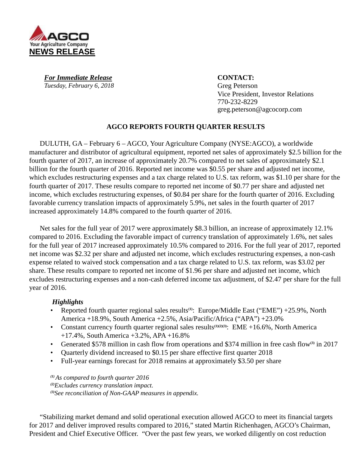

For Immediate Release **CONTACT:** *Tuesday, February 6, 2018* Greg Peterson

Vice President, Investor Relations 770-232-8229 greg.peterson@agcocorp.com

# **AGCO REPORTS FOURTH QUARTER RESULTS**

DULUTH, GA – February 6 – AGCO, Your Agriculture Company (NYSE:AGCO), a worldwide manufacturer and distributor of agricultural equipment, reported net sales of approximately \$2.5 billion for the fourth quarter of 2017, an increase of approximately 20.7% compared to net sales of approximately \$2.1 billion for the fourth quarter of 2016. Reported net income was \$0.55 per share and adjusted net income, which excludes restructuring expenses and a tax charge related to U.S. tax reform, was \$1.10 per share for the fourth quarter of 2017. These results compare to reported net income of \$0.77 per share and adjusted net income, which excludes restructuring expenses, of \$0.84 per share for the fourth quarter of 2016. Excluding favorable currency translation impacts of approximately 5.9%, net sales in the fourth quarter of 2017 increased approximately 14.8% compared to the fourth quarter of 2016.

Net sales for the full year of 2017 were approximately \$8.3 billion, an increase of approximately 12.1% compared to 2016. Excluding the favorable impact of currency translation of approximately 1.6%, net sales for the full year of 2017 increased approximately 10.5% compared to 2016. For the full year of 2017, reported net income was \$2.32 per share and adjusted net income, which excludes restructuring expenses, a non-cash expense related to waived stock compensation and a tax charge related to U.S. tax reform, was \$3.02 per share. These results compare to reported net income of \$1.96 per share and adjusted net income, which excludes restructuring expenses and a non-cash deferred income tax adjustment, of \$2.47 per share for the full year of 2016.

# *Highlights*

- Reported fourth quarter regional sales results<sup>(1)</sup>: Europe/Middle East ("EME") +25.9%, North America +18.9%, South America +2.5%, Asia/Pacific/Africa ("APA") +23.0%
- Constant currency fourth quarter regional sales results**(1)(2)(3)**: EME +16.6%, North America +17.4%, South America +3.2%, APA +16.8%
- Generated \$578 million in cash flow from operations and \$374 million in free cash flow**(3)** in 2017
- Quarterly dividend increased to \$0.15 per share effective first quarter 2018
- Full-year earnings forecast for 2018 remains at approximately \$3.50 per share

*(1)As compared to fourth quarter 2016 (2)Excludes currency translation impact. (3)See reconciliation of Non-GAAP measures in appendix.*

"Stabilizing market demand and solid operational execution allowed AGCO to meet its financial targets for 2017 and deliver improved results compared to 2016," stated Martin Richenhagen, AGCO's Chairman, President and Chief Executive Officer. "Over the past few years, we worked diligently on cost reduction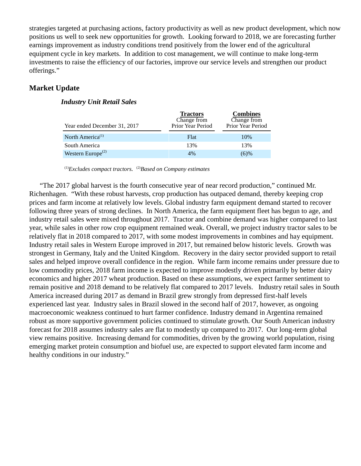strategies targeted at purchasing actions, factory productivity as well as new product development, which now positions us well to seek new opportunities for growth. Looking forward to 2018, we are forecasting further earnings improvement as industry conditions trend positively from the lower end of the agricultural equipment cycle in key markets. In addition to cost management, we will continue to make long-term investments to raise the efficiency of our factories, improve our service levels and strengthen our product offerings."

# **Market Update**

# *Industry Unit Retail Sales*

| Year ended December 31, 2017               | <b>Tractors</b><br>Change from<br>Prior Year Period | <b>Combines</b><br>Change from<br>Prior Year Period |
|--------------------------------------------|-----------------------------------------------------|-----------------------------------------------------|
| North America <sup>(1)</sup>               | Flat                                                | 10%                                                 |
| South America                              | 13%                                                 | 13%                                                 |
| Western Europe <sup><math>(2)</math></sup> | 4%                                                  | $(6)\%$                                             |

(1)*Excludes compact tractors.* (2)*Based on Company estimates*

"The 2017 global harvest is the fourth consecutive year of near record production," continued Mr. Richenhagen. "With these robust harvests, crop production has outpaced demand, thereby keeping crop prices and farm income at relatively low levels. Global industry farm equipment demand started to recover following three years of strong declines. In North America, the farm equipment fleet has begun to age, and industry retail sales were mixed throughout 2017. Tractor and combine demand was higher compared to last year, while sales in other row crop equipment remained weak. Overall, we project industry tractor sales to be relatively flat in 2018 compared to 2017, with some modest improvements in combines and hay equipment. Industry retail sales in Western Europe improved in 2017, but remained below historic levels. Growth was strongest in Germany, Italy and the United Kingdom. Recovery in the dairy sector provided support to retail sales and helped improve overall confidence in the region. While farm income remains under pressure due to low commodity prices, 2018 farm income is expected to improve modestly driven primarily by better dairy economics and higher 2017 wheat production. Based on these assumptions, we expect farmer sentiment to remain positive and 2018 demand to be relatively flat compared to 2017 levels. Industry retail sales in South America increased during 2017 as demand in Brazil grew strongly from depressed first-half levels experienced last year. Industry sales in Brazil slowed in the second half of 2017, however, as ongoing macroeconomic weakness continued to hurt farmer confidence. Industry demand in Argentina remained robust as more supportive government policies continued to stimulate growth. Our South American industry forecast for 2018 assumes industry sales are flat to modestly up compared to 2017. Our long-term global view remains positive. Increasing demand for commodities, driven by the growing world population, rising emerging market protein consumption and biofuel use, are expected to support elevated farm income and healthy conditions in our industry."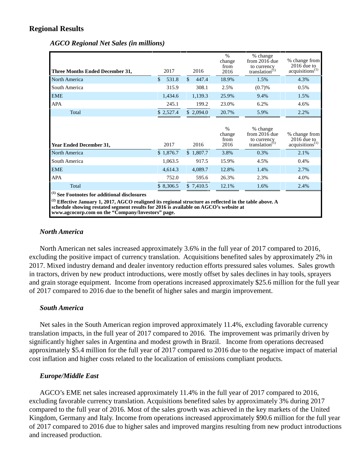# **Regional Results**

| Three Months Ended December 31,                                                                                                                                                                                                                                                                                            | 2017                   | 2016                   | $\%$<br>change<br>from<br>2016 | % change<br>from 2016 due<br>to currency<br>translation $(1)$ | % change from<br>$2016$ due to<br>acquisitions <sup>(1)</sup> |
|----------------------------------------------------------------------------------------------------------------------------------------------------------------------------------------------------------------------------------------------------------------------------------------------------------------------------|------------------------|------------------------|--------------------------------|---------------------------------------------------------------|---------------------------------------------------------------|
| North America                                                                                                                                                                                                                                                                                                              | $\mathbf{\$}$<br>531.8 | $\mathcal{S}$<br>447.4 | 18.9%                          | 1.5%                                                          | 4.3%                                                          |
| South America                                                                                                                                                                                                                                                                                                              | 315.9                  | 308.1                  | 2.5%                           | (0.7)%                                                        | 0.5%                                                          |
| <b>EME</b>                                                                                                                                                                                                                                                                                                                 | 1,434.6                | 1,139.3                | 25.9%                          | 9.4%                                                          | 1.5%                                                          |
| <b>APA</b>                                                                                                                                                                                                                                                                                                                 | 245.1                  | 199.2                  | 23.0%                          | 6.2%                                                          | 4.6%                                                          |
| Total                                                                                                                                                                                                                                                                                                                      | \$2,527.4              | \$2,094.0              | 20.7%                          | 5.9%                                                          | 2.2%                                                          |
| <b>Year Ended December 31,</b>                                                                                                                                                                                                                                                                                             | 2017                   | 2016                   | $\%$<br>change<br>from<br>2016 | % change<br>from 2016 due<br>to currency<br>translation $(1)$ | % change from<br>$2016$ due to<br>acquisitions <sup>(1)</sup> |
| North America                                                                                                                                                                                                                                                                                                              | \$1,876.7              | \$1,807.7              | 3.8%                           | 0.3%                                                          | 2.1%                                                          |
| South America                                                                                                                                                                                                                                                                                                              | 1,063.5                | 917.5                  | 15.9%                          | 4.5%                                                          | 0.4%                                                          |
| <b>EME</b>                                                                                                                                                                                                                                                                                                                 | 4,614.3                | 4,089.7                | 12.8%                          | 1.4%                                                          | 2.7%                                                          |
| <b>APA</b>                                                                                                                                                                                                                                                                                                                 | 752.0                  | 595.6                  | 26.3%                          | 2.3%                                                          | 4.0%                                                          |
| Total                                                                                                                                                                                                                                                                                                                      | \$8,306.5              | \$7,410.5              | 12.1%                          | 1.6%                                                          | 2.4%                                                          |
| <sup>(1)</sup> See Footnotes for additional disclosures<br><sup>(2)</sup> Effective January 1, 2017, AGCO realigned its regional structure as reflected in the table above. A<br>schedule showing restated segment results for 2016 is available on AGCO's website at<br>www.agcocorp.com on the "Company/Investors" page. |                        |                        |                                |                                                               |                                                               |

*AGCO Regional Net Sales (in millions)*

## *North America*

North American net sales increased approximately 3.6% in the full year of 2017 compared to 2016, excluding the positive impact of currency translation. Acquisitions benefited sales by approximately 2% in 2017. Mixed industry demand and dealer inventory reduction efforts pressured sales volumes. Sales growth in tractors, driven by new product introductions, were mostly offset by sales declines in hay tools, sprayers and grain storage equipment. Income from operations increased approximately \$25.6 million for the full year of 2017 compared to 2016 due to the benefit of higher sales and margin improvement.

# *South America*

Net sales in the South American region improved approximately 11.4%, excluding favorable currency translation impacts, in the full year of 2017 compared to 2016. The improvement was primarily driven by significantly higher sales in Argentina and modest growth in Brazil. Income from operations decreased approximately \$5.4 million for the full year of 2017 compared to 2016 due to the negative impact of material cost inflation and higher costs related to the localization of emissions compliant products.

# *Europe/Middle East*

AGCO's EME net sales increased approximately 11.4% in the full year of 2017 compared to 2016, excluding favorable currency translation. Acquisitions benefited sales by approximately 3% during 2017 compared to the full year of 2016. Most of the sales growth was achieved in the key markets of the United Kingdom, Germany and Italy. Income from operations increased approximately \$90.6 million for the full year of 2017 compared to 2016 due to higher sales and improved margins resulting from new product introductions and increased production.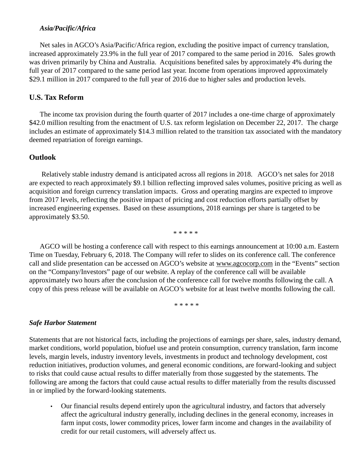## *Asia/Pacific/Africa*

Net sales in AGCO's Asia/Pacific/Africa region, excluding the positive impact of currency translation, increased approximately 23.9% in the full year of 2017 compared to the same period in 2016. Sales growth was driven primarily by China and Australia. Acquisitions benefited sales by approximately 4% during the full year of 2017 compared to the same period last year. Income from operations improved approximately \$29.1 million in 2017 compared to the full year of 2016 due to higher sales and production levels.

# **U.S. Tax Reform**

The income tax provision during the fourth quarter of 2017 includes a one-time charge of approximately \$42.0 million resulting from the enactment of U.S. tax reform legislation on December 22, 2017. The charge includes an estimate of approximately \$14.3 million related to the transition tax associated with the mandatory deemed repatriation of foreign earnings.

# **Outlook**

Relatively stable industry demand is anticipated across all regions in 2018. AGCO's net sales for 2018 are expected to reach approximately \$9.1 billion reflecting improved sales volumes, positive pricing as well as acquisition and foreign currency translation impacts. Gross and operating margins are expected to improve from 2017 levels, reflecting the positive impact of pricing and cost reduction efforts partially offset by increased engineering expenses. Based on these assumptions, 2018 earnings per share is targeted to be approximately \$3.50.

\* \* \* \* \*

AGCO will be hosting a conference call with respect to this earnings announcement at 10:00 a.m. Eastern Time on Tuesday, February 6, 2018. The Company will refer to slides on its conference call. The conference call and slide presentation can be accessed on AGCO's website at www.agcocorp.com in the "Events" section on the "Company/Investors" page of our website. A replay of the conference call will be available approximately two hours after the conclusion of the conference call for twelve months following the call. A copy of this press release will be available on AGCO's website for at least twelve months following the call.

\* \* \* \* \*

# *Safe Harbor Statement*

Statements that are not historical facts, including the projections of earnings per share, sales, industry demand, market conditions, world population, biofuel use and protein consumption, currency translation, farm income levels, margin levels, industry inventory levels, investments in product and technology development, cost reduction initiatives, production volumes, and general economic conditions, are forward-looking and subject to risks that could cause actual results to differ materially from those suggested by the statements. The following are among the factors that could cause actual results to differ materially from the results discussed in or implied by the forward-looking statements.

• Our financial results depend entirely upon the agricultural industry, and factors that adversely affect the agricultural industry generally, including declines in the general economy, increases in farm input costs, lower commodity prices, lower farm income and changes in the availability of credit for our retail customers, will adversely affect us.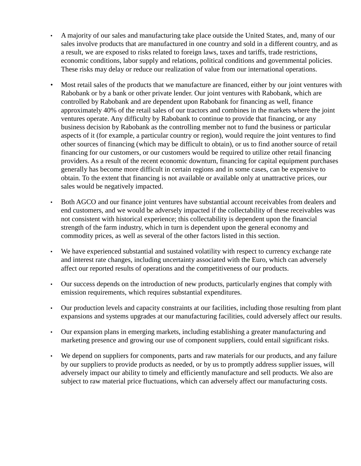- A majority of our sales and manufacturing take place outside the United States, and, many of our sales involve products that are manufactured in one country and sold in a different country, and as a result, we are exposed to risks related to foreign laws, taxes and tariffs, trade restrictions, economic conditions, labor supply and relations, political conditions and governmental policies. These risks may delay or reduce our realization of value from our international operations.
- Most retail sales of the products that we manufacture are financed, either by our joint ventures with Rabobank or by a bank or other private lender. Our joint ventures with Rabobank, which are controlled by Rabobank and are dependent upon Rabobank for financing as well, finance approximately 40% of the retail sales of our tractors and combines in the markets where the joint ventures operate. Any difficulty by Rabobank to continue to provide that financing, or any business decision by Rabobank as the controlling member not to fund the business or particular aspects of it (for example, a particular country or region), would require the joint ventures to find other sources of financing (which may be difficult to obtain), or us to find another source of retail financing for our customers, or our customers would be required to utilize other retail financing providers. As a result of the recent economic downturn, financing for capital equipment purchases generally has become more difficult in certain regions and in some cases, can be expensive to obtain. To the extent that financing is not available or available only at unattractive prices, our sales would be negatively impacted.
- Both AGCO and our finance joint ventures have substantial account receivables from dealers and end customers, and we would be adversely impacted if the collectability of these receivables was not consistent with historical experience; this collectability is dependent upon the financial strength of the farm industry, which in turn is dependent upon the general economy and commodity prices, as well as several of the other factors listed in this section.
- We have experienced substantial and sustained volatility with respect to currency exchange rate and interest rate changes, including uncertainty associated with the Euro, which can adversely affect our reported results of operations and the competitiveness of our products.
- Our success depends on the introduction of new products, particularly engines that comply with emission requirements, which requires substantial expenditures.
- Our production levels and capacity constraints at our facilities, including those resulting from plant expansions and systems upgrades at our manufacturing facilities, could adversely affect our results.
- Our expansion plans in emerging markets, including establishing a greater manufacturing and marketing presence and growing our use of component suppliers, could entail significant risks.
- We depend on suppliers for components, parts and raw materials for our products, and any failure by our suppliers to provide products as needed, or by us to promptly address supplier issues, will adversely impact our ability to timely and efficiently manufacture and sell products. We also are subject to raw material price fluctuations, which can adversely affect our manufacturing costs.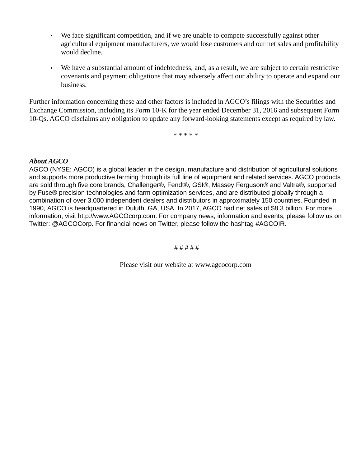- We face significant competition, and if we are unable to compete successfully against other agricultural equipment manufacturers, we would lose customers and our net sales and profitability would decline.
- We have a substantial amount of indebtedness, and, as a result, we are subject to certain restrictive covenants and payment obligations that may adversely affect our ability to operate and expand our business.

Further information concerning these and other factors is included in AGCO's filings with the Securities and Exchange Commission, including its Form 10-K for the year ended December 31, 2016 and subsequent Form 10-Qs. AGCO disclaims any obligation to update any forward-looking statements except as required by law.

\* \* \* \* \*

# *About AGCO*

AGCO (NYSE: AGCO) is a global leader in the design, manufacture and distribution of agricultural solutions and supports more productive farming through its full line of equipment and related services. AGCO products are sold through five core brands, Challenger®, Fendt®, GSI®, Massey Ferguson® and Valtra®, supported by Fuse® precision technologies and farm optimization services, and are distributed globally through a combination of over 3,000 independent dealers and distributors in approximately 150 countries. Founded in 1990, AGCO is headquartered in Duluth, GA, USA. In 2017, AGCO had net sales of \$8.3 billion. For more information, visit http://www.AGCOcorp.com. For company news, information and events, please follow us on Twitter: @AGCOCorp. For financial news on Twitter, please follow the hashtag #AGCOIR.

# # # # #

Please visit our website at www.agcocorp.com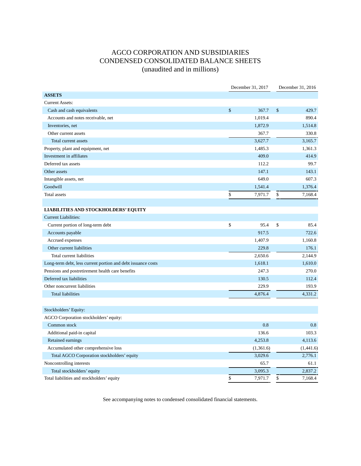# AGCO CORPORATION AND SUBSIDIARIES CONDENSED CONSOLIDATED BALANCE SHEETS (unaudited and in millions)

|                                                              | December 31, 2017 |    |           |
|--------------------------------------------------------------|-------------------|----|-----------|
| <b>ASSETS</b>                                                |                   |    |           |
| <b>Current Assets:</b>                                       |                   |    |           |
| Cash and cash equivalents                                    | \$<br>367.7       | \$ | 429.7     |
| Accounts and notes receivable, net                           | 1,019.4           |    | 890.4     |
| Inventories, net                                             | 1,872.9           |    | 1,514.8   |
| Other current assets                                         | 367.7             |    | 330.8     |
| Total current assets                                         | 3,627.7           |    | 3,165.7   |
| Property, plant and equipment, net                           | 1,485.3           |    | 1,361.3   |
| Investment in affiliates                                     | 409.0             |    | 414.9     |
| Deferred tax assets                                          | 112.2             |    | 99.7      |
| Other assets                                                 | 147.1             |    | 143.1     |
| Intangible assets, net                                       | 649.0             |    | 607.3     |
| Goodwill                                                     | 1,541.4           |    | 1,376.4   |
| <b>Total assets</b>                                          | \$<br>7,971.7     | \$ | 7,168.4   |
|                                                              |                   |    |           |
| <b>LIABILITIES AND STOCKHOLDERS' EQUITY</b>                  |                   |    |           |
| <b>Current Liabilities:</b>                                  |                   |    |           |
| Current portion of long-term debt                            | \$<br>95.4        | \$ | 85.4      |
| Accounts payable                                             | 917.5             |    | 722.6     |
| Accrued expenses                                             | 1,407.9           |    | 1,160.8   |
| Other current liabilities                                    | 229.8             |    | 176.1     |
| Total current liabilities                                    | 2.650.6           |    | 2,144.9   |
| Long-term debt, less current portion and debt issuance costs | 1,618.1           |    | 1,610.0   |
| Pensions and postretirement health care benefits             | 247.3             |    | 270.0     |
| Deferred tax liabilities                                     | 130.5             |    | 112.4     |
| Other noncurrent liabilities                                 | 229.9             |    | 193.9     |
| <b>Total liabilities</b>                                     | 4,876.4           |    | 4,331.2   |
|                                                              |                   |    |           |
| Stockholders' Equity:                                        |                   |    |           |
| AGCO Corporation stockholders' equity:                       |                   |    |           |
| Common stock                                                 | 0.8               |    | 0.8       |
| Additional paid-in capital                                   | 136.6             |    | 103.3     |
| Retained earnings                                            | 4,253.8           |    | 4,113.6   |
| Accumulated other comprehensive loss                         | (1,361.6)         |    | (1,441.6) |
| Total AGCO Corporation stockholders' equity                  | 3,029.6           |    | 2,776.1   |
| Noncontrolling interests                                     | 65.7              |    | 61.1      |
| Total stockholders' equity                                   | 3,095.3           |    | 2,837.2   |
| Total liabilities and stockholders' equity                   | \$<br>7,971.7     | \$ | 7,168.4   |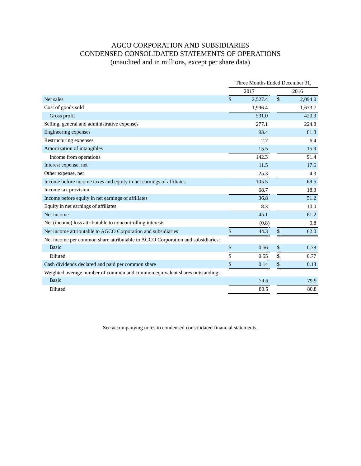# AGCO CORPORATION AND SUBSIDIARIES CONDENSED CONSOLIDATED STATEMENTS OF OPERATIONS (unaudited and in millions, except per share data)

|                                                                                |      | Three Months Ended December 31, |               |         |
|--------------------------------------------------------------------------------|------|---------------------------------|---------------|---------|
|                                                                                |      | 2017                            |               | 2016    |
| Net sales                                                                      | \$   | 2,527.4                         | $\mathsf{\$}$ | 2,094.0 |
| Cost of goods sold                                                             |      | 1,996.4                         |               | 1,673.7 |
| Gross profit                                                                   |      | 531.0                           |               | 420.3   |
| Selling, general and administrative expenses                                   |      | 277.1                           |               | 224.8   |
| Engineering expenses                                                           |      | 93.4                            |               | 81.8    |
| Restructuring expenses                                                         |      | 2.7                             |               | 6.4     |
| Amortization of intangibles                                                    |      | 15.5                            |               | 15.9    |
| Income from operations                                                         |      | 142.3                           |               | 91.4    |
| Interest expense, net                                                          |      | 11.5                            |               | 17.6    |
| Other expense, net                                                             |      | 25.3                            |               | 4.3     |
| Income before income taxes and equity in net earnings of affiliates            |      | 105.5                           |               | 69.5    |
| Income tax provision                                                           |      | 68.7                            |               | 18.3    |
| Income before equity in net earnings of affiliates                             |      | 36.8                            |               | 51.2    |
| Equity in net earnings of affiliates                                           |      | 8.3                             |               | 10.0    |
| Net income                                                                     |      | 45.1                            |               | 61.2    |
| Net (income) loss attributable to noncontrolling interests                     |      | (0.8)                           |               | 0.8     |
| Net income attributable to AGCO Corporation and subsidiaries                   | $\$$ | 44.3                            | \$            | 62.0    |
| Net income per common share attributable to AGCO Corporation and subsidiaries: |      |                                 |               |         |
| <b>Basic</b>                                                                   | $\$$ | 0.56                            | \$            | 0.78    |
| Diluted                                                                        | \$   | 0.55                            | \$            | 0.77    |
| Cash dividends declared and paid per common share                              | \$   | 0.14                            | \$            | 0.13    |
| Weighted average number of common and common equivalent shares outstanding:    |      |                                 |               |         |
| <b>Basic</b>                                                                   |      | 79.6                            |               | 79.9    |
| Diluted                                                                        |      | 80.5                            |               | 80.8    |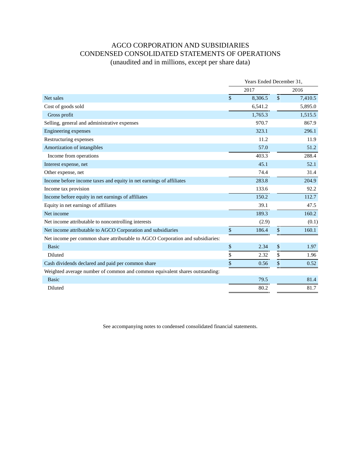# AGCO CORPORATION AND SUBSIDIARIES CONDENSED CONSOLIDATED STATEMENTS OF OPERATIONS (unaudited and in millions, except per share data)

|                                                                                |                    | Years Ended December 31. |                    |         |
|--------------------------------------------------------------------------------|--------------------|--------------------------|--------------------|---------|
|                                                                                |                    | 2017                     |                    | 2016    |
| Net sales                                                                      | $\mathbf{\hat{s}}$ | 8,306.5                  | $\mathbf{\hat{S}}$ | 7,410.5 |
| Cost of goods sold                                                             |                    | 6,541.2                  |                    | 5,895.0 |
| Gross profit                                                                   |                    | 1,765.3                  |                    | 1,515.5 |
| Selling, general and administrative expenses                                   |                    | 970.7                    |                    | 867.9   |
| Engineering expenses                                                           |                    | 323.1                    |                    | 296.1   |
| Restructuring expenses                                                         |                    | 11.2                     |                    | 11.9    |
| Amortization of intangibles                                                    |                    | 57.0                     |                    | 51.2    |
| Income from operations                                                         |                    | 403.3                    |                    | 288.4   |
| Interest expense, net                                                          |                    | 45.1                     |                    | 52.1    |
| Other expense, net                                                             |                    | 74.4                     |                    | 31.4    |
| Income before income taxes and equity in net earnings of affiliates            |                    | 283.8                    |                    | 204.9   |
| Income tax provision                                                           |                    | 133.6                    |                    | 92.2    |
| Income before equity in net earnings of affiliates                             |                    | 150.2                    |                    | 112.7   |
| Equity in net earnings of affiliates                                           |                    | 39.1                     |                    | 47.5    |
| Net income                                                                     |                    | 189.3                    |                    | 160.2   |
| Net income attributable to noncontrolling interests                            |                    | (2.9)                    |                    | (0.1)   |
| Net income attributable to AGCO Corporation and subsidiaries                   | $\mathbb{S}$       | 186.4                    | \$                 | 160.1   |
| Net income per common share attributable to AGCO Corporation and subsidiaries: |                    |                          |                    |         |
| <b>Basic</b>                                                                   | \$                 | 2.34                     | \$                 | 1.97    |
| Diluted                                                                        | \$                 | 2.32                     | \$                 | 1.96    |
| Cash dividends declared and paid per common share                              | \$                 | 0.56                     | \$                 | 0.52    |
| Weighted average number of common and common equivalent shares outstanding:    |                    |                          |                    |         |
| <b>Basic</b>                                                                   |                    | 79.5                     |                    | 81.4    |
| Diluted                                                                        |                    | 80.2                     |                    | 81.7    |
|                                                                                |                    |                          |                    |         |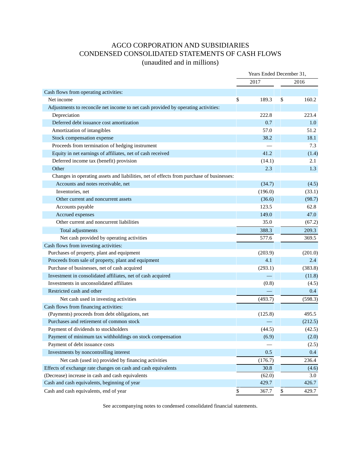# AGCO CORPORATION AND SUBSIDIARIES CONDENSED CONSOLIDATED STATEMENTS OF CASH FLOWS

(unaudited and in millions)

|                                                                                          | Years Ended December 31, |         |    |         |
|------------------------------------------------------------------------------------------|--------------------------|---------|----|---------|
|                                                                                          |                          | 2017    |    | 2016    |
| Cash flows from operating activities:                                                    |                          |         |    |         |
| Net income                                                                               | \$                       | 189.3   | \$ | 160.2   |
| Adjustments to reconcile net income to net cash provided by operating activities:        |                          |         |    |         |
| Depreciation                                                                             |                          | 222.8   |    | 223.4   |
| Deferred debt issuance cost amortization                                                 |                          | 0.7     |    | 1.0     |
| Amortization of intangibles                                                              |                          | 57.0    |    | 51.2    |
| Stock compensation expense                                                               |                          | 38.2    |    | 18.1    |
| Proceeds from termination of hedging instrument                                          |                          |         |    | 7.3     |
| Equity in net earnings of affiliates, net of cash received                               |                          | 41.2    |    | (1.4)   |
| Deferred income tax (benefit) provision                                                  |                          | (14.1)  |    | 2.1     |
| Other                                                                                    |                          | 2.3     |    | 1.3     |
| Changes in operating assets and liabilities, net of effects from purchase of businesses: |                          |         |    |         |
| Accounts and notes receivable, net                                                       |                          | (34.7)  |    | (4.5)   |
| Inventories, net                                                                         |                          | (196.0) |    | (33.1)  |
| Other current and noncurrent assets                                                      |                          | (36.6)  |    | (98.7)  |
| Accounts payable                                                                         |                          | 123.5   |    | 62.8    |
| Accrued expenses                                                                         |                          | 149.0   |    | 47.0    |
| Other current and noncurrent liabilities                                                 |                          | 35.0    |    | (67.2)  |
| Total adjustments                                                                        |                          | 388.3   |    | 209.3   |
| Net cash provided by operating activities                                                |                          | 577.6   |    | 369.5   |
| Cash flows from investing activities:                                                    |                          |         |    |         |
| Purchases of property, plant and equipment                                               |                          | (203.9) |    | (201.0) |
| Proceeds from sale of property, plant and equipment                                      |                          | 4.1     |    | 2.4     |
| Purchase of businesses, net of cash acquired                                             |                          | (293.1) |    | (383.8) |
| Investment in consolidated affiliates, net of cash acquired                              |                          |         |    | (11.8)  |
| Investments in unconsolidated affiliates                                                 |                          | (0.8)   |    | (4.5)   |
| Restricted cash and other                                                                |                          |         |    | 0.4     |
| Net cash used in investing activities                                                    |                          | (493.7) |    | (598.3) |
| Cash flows from financing activities:                                                    |                          |         |    |         |
| (Payments) proceeds from debt obligations, net                                           |                          | (125.8) |    | 495.5   |
| Purchases and retirement of common stock                                                 |                          |         |    | (212.5) |
| Payment of dividends to stockholders                                                     |                          | (44.5)  |    | (42.5)  |
| Payment of minimum tax withholdings on stock compensation                                |                          | (6.9)   |    | (2.0)   |
| Payment of debt issuance costs                                                           |                          |         |    | (2.5)   |
| Investments by noncontrolling interest                                                   |                          | 0.5     |    | 0.4     |
| Net cash (used in) provided by financing activities                                      |                          | (176.7) |    | 236.4   |
| Effects of exchange rate changes on cash and cash equivalents                            |                          | 30.8    |    | (4.6)   |
| (Decrease) increase in cash and cash equivalents                                         |                          | (62.0)  |    | 3.0     |
| Cash and cash equivalents, beginning of year                                             |                          | 429.7   |    | 426.7   |
| Cash and cash equivalents, end of year                                                   | \$                       | 367.7   | \$ | 429.7   |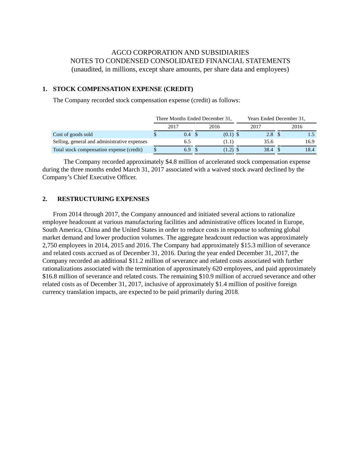# AGCO CORPORATION AND SUBSIDIARIES NOTES TO CONDENSED CONSOLIDATED FINANCIAL STATEMENTS (unaudited, in millions, except share amounts, per share data and employees)

## **1. STOCK COMPENSATION EXPENSE (CREDIT)**

The Company recorded stock compensation expense (credit) as follows:

|                                              |      | Three Months Ended December 31, | Years Ended December 31, |      |  |  |
|----------------------------------------------|------|---------------------------------|--------------------------|------|--|--|
|                                              | 2017 | 2016                            | 2017                     | 2016 |  |  |
| Cost of goods sold                           | 0.4  | $(0.1)$ \$                      | 2.8 <sup>°</sup>         |      |  |  |
| Selling, general and administrative expenses | 6.5  | (1.1)                           | 35.6                     | 16.9 |  |  |
| Total stock compensation expense (credit)    | 6.9  | $(1.2)$ \$                      | 38.4                     | 18.4 |  |  |

The Company recorded approximately \$4.8 million of accelerated stock compensation expense during the three months ended March 31, 2017 associated with a waived stock award declined by the Company's Chief Executive Officer.

### **2. RESTRUCTURING EXPENSES**

From 2014 through 2017, the Company announced and initiated several actions to rationalize employee headcount at various manufacturing facilities and administrative offices located in Europe, South America, China and the United States in order to reduce costs in response to softening global market demand and lower production volumes. The aggregate headcount reduction was approximately 2,750 employees in 2014, 2015 and 2016. The Company had approximately \$15.3 million of severance and related costs accrued as of December 31, 2016. During the year ended December 31, 2017, the Company recorded an additional \$11.2 million of severance and related costs associated with further rationalizations associated with the termination of approximately 620 employees, and paid approximately \$16.8 million of severance and related costs. The remaining \$10.9 million of accrued severance and other related costs as of December 31, 2017, inclusive of approximately \$1.4 million of positive foreign currency translation impacts, are expected to be paid primarily during 2018.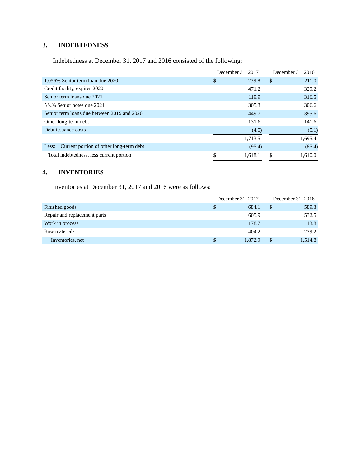# **3. INDEBTEDNESS**

Indebtedness at December 31, 2017 and 2016 consisted of the following:

|                                                  | December 31, 2017 |    | December 31, 2016 |
|--------------------------------------------------|-------------------|----|-------------------|
| 1.056% Senior term loan due 2020                 | \$<br>239.8       | \$ | 211.0             |
| Credit facility, expires 2020                    | 471.2             |    | 329.2             |
| Senior term loans due 2021                       | 119.9             |    | 316.5             |
| $5\frac{7}{8}\%$ Senior notes due 2021           | 305.3             |    | 306.6             |
| Senior term loans due between 2019 and 2026      | 449.7             |    | 395.6             |
| Other long-term debt                             | 131.6             |    | 141.6             |
| Debt issuance costs                              | (4.0)             |    | (5.1)             |
|                                                  | 1.713.5           |    | 1,695.4           |
| Current portion of other long-term debt<br>Less: | (95.4)            |    | (85.4)            |
| Total indebtedness, less current portion         | 1.618.1           | S  | 1.610.0           |

### **4. INVENTORIES**

Inventories at December 31, 2017 and 2016 were as follows:

|                              | December 31, 2017 | December 31, 2016 |
|------------------------------|-------------------|-------------------|
| Finished goods               | 684.1             | \$<br>589.3       |
| Repair and replacement parts | 605.9             | 532.5             |
| Work in process              | 178.7             | 113.8             |
| Raw materials                | 404.2             | 279.2             |
| Inventories, net             | 1,872.9           | 1,514.8           |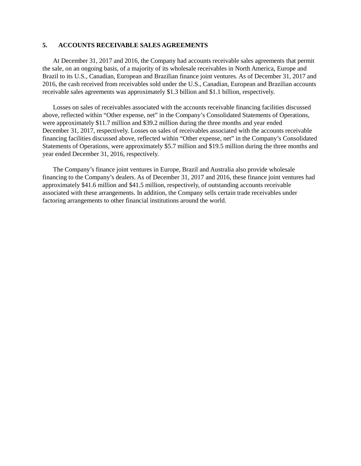#### **5. ACCOUNTS RECEIVABLE SALES AGREEMENTS**

At December 31, 2017 and 2016, the Company had accounts receivable sales agreements that permit the sale, on an ongoing basis, of a majority of its wholesale receivables in North America, Europe and Brazil to its U.S., Canadian, European and Brazilian finance joint ventures. As of December 31, 2017 and 2016, the cash received from receivables sold under the U.S., Canadian, European and Brazilian accounts receivable sales agreements was approximately \$1.3 billion and \$1.1 billion, respectively.

Losses on sales of receivables associated with the accounts receivable financing facilities discussed above, reflected within "Other expense, net" in the Company's Consolidated Statements of Operations, were approximately \$11.7 million and \$39.2 million during the three months and year ended December 31, 2017, respectively. Losses on sales of receivables associated with the accounts receivable financing facilities discussed above, reflected within "Other expense, net" in the Company's Consolidated Statements of Operations, were approximately \$5.7 million and \$19.5 million during the three months and year ended December 31, 2016, respectively.

The Company's finance joint ventures in Europe, Brazil and Australia also provide wholesale financing to the Company's dealers. As of December 31, 2017 and 2016, these finance joint ventures had approximately \$41.6 million and \$41.5 million, respectively, of outstanding accounts receivable associated with these arrangements. In addition, the Company sells certain trade receivables under factoring arrangements to other financial institutions around the world.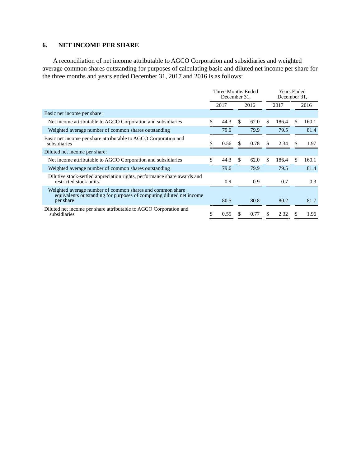#### **6. NET INCOME PER SHARE**

A reconciliation of net income attributable to AGCO Corporation and subsidiaries and weighted average common shares outstanding for purposes of calculating basic and diluted net income per share for the three months and years ended December 31, 2017 and 2016 is as follows:

| Three Months Ended<br>December 31. |      |               |      |     |       |               |                                    |  |      |
|------------------------------------|------|---------------|------|-----|-------|---------------|------------------------------------|--|------|
| 2017                               |      | 2016          |      |     |       |               | 2016                               |  |      |
|                                    |      |               |      |     |       |               |                                    |  |      |
| \$.                                | 44.3 | S.            | 62.0 | S.  | 186.4 | £.            | 160.1                              |  |      |
|                                    | 79.6 |               |      |     | 79.9  |               | 79.5                               |  | 81.4 |
| S                                  | 0.56 | -S            | 0.78 | S   | 2.34  | -S            | 1.97                               |  |      |
|                                    |      |               |      |     |       |               |                                    |  |      |
| \$                                 | 44.3 | <sup>\$</sup> | 62.0 | \$. | 186.4 | <sup>\$</sup> | 160.1                              |  |      |
|                                    | 79.6 |               | 79.9 |     | 79.5  |               | 81.4                               |  |      |
|                                    | 0.9  |               | 0.9  |     | 0.7   |               | 0.3                                |  |      |
|                                    | 80.5 |               | 80.8 |     | 80.2  |               | 81.7                               |  |      |
| \$                                 | 0.55 | S.            | 0.77 | S   | 2.32  | <b>S</b>      | 1.96                               |  |      |
|                                    |      |               |      |     |       | 2017          | <b>Years Ended</b><br>December 31. |  |      |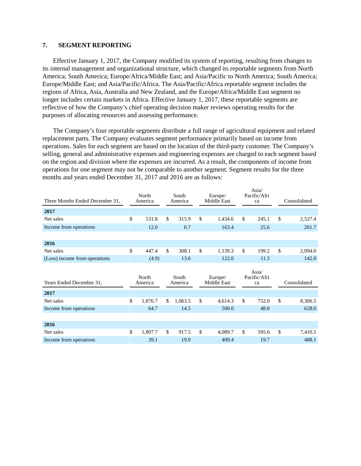#### **7. SEGMENT REPORTING**

Effective January 1, 2017, the Company modified its system of reporting, resulting from changes to its internal management and organizational structure, which changed its reportable segments from North America; South America; Europe/Africa/Middle East; and Asia/Pacific to North America; South America; Europe/Middle East; and Asia/Pacific/Africa. The Asia/Pacific/Africa reportable segment includes the regions of Africa, Asia, Australia and New Zealand, and the Europe/Africa/Middle East segment no longer includes certain markets in Africa. Effective January 1, 2017, these reportable segments are reflective of how the Company's chief operating decision maker reviews operating results for the purposes of allocating resources and assessing performance.

The Company's four reportable segments distribute a full range of agricultural equipment and related replacement parts. The Company evaluates segment performance primarily based on income from operations. Sales for each segment are based on the location of the third-party customer. The Company's selling, general and administrative expenses and engineering expenses are charged to each segment based on the region and division where the expenses are incurred. As a result, the components of income from operations for one segment may not be comparable to another segment. Segment results for the three months and years ended December 31, 2017 and 2016 are as follows:

| North            |         | South            |         | Europe/                |             | Asia/<br>ca        |              | Consolidated |
|------------------|---------|------------------|---------|------------------------|-------------|--------------------|--------------|--------------|
|                  |         |                  |         |                        |             |                    |              |              |
| \$<br>531.8      | \$      | 315.9            | \$      | 1,434.6                | \$          | 245.1              | \$           | 2,527.4      |
| 12.0             |         | 0.7              |         | 163.4                  |             | 25.6               |              | 201.7        |
|                  |         |                  |         |                        |             |                    |              |              |
|                  |         |                  |         |                        |             |                    |              |              |
| \$<br>447.4      | \$      | 308.1            | \$      | 1,139.3                | \$          | 199.2              | \$           | 2,094.0      |
| (4.9)            |         | 13.6             |         | 122.0                  |             | 11.3               |              | 142.0        |
|                  |         |                  |         |                        |             |                    |              |              |
| North<br>America |         | South<br>America |         | Europe/<br>Middle East |             | Pacific/Afri<br>ca |              | Consolidated |
|                  |         |                  |         |                        |             |                    |              |              |
| \$<br>1,876.7    | \$      | 1,063.5          | \$      | 4,614.3                | \$          | 752.0              | \$           | 8,306.5      |
| 64.7             |         | 14.5             |         | 500.0                  |             | 48.8               |              | 628.0        |
|                  |         |                  |         |                        |             |                    |              |              |
|                  |         |                  |         |                        |             |                    |              |              |
| \$<br>1,807.7    | \$      | 917.5            | \$      | 4,089.7                | \$          | 595.6              | \$           | 7,410.5      |
|                  | America |                  | America |                        | Middle East |                    | Pacific/Afri | Asia/        |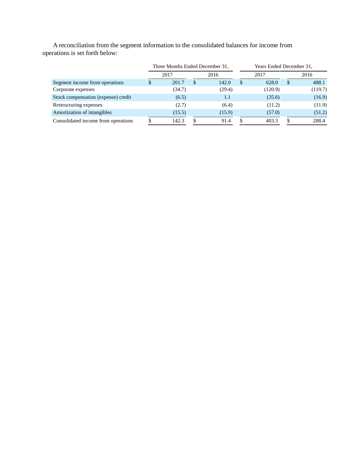A reconciliation from the segment information to the consolidated balances for income from operations is set forth below:

|                                     | Three Months Ended December 31, |          |        | Years Ended December 31, |         |      |         |  |
|-------------------------------------|---------------------------------|----------|--------|--------------------------|---------|------|---------|--|
|                                     | 2017                            |          | 2016   |                          | 2017    | 2016 |         |  |
| Segment income from operations      | 201.7                           | <b>S</b> | 142.0  | S                        | 628.0   | \$   | 488.1   |  |
| Corporate expenses                  | (34.7)                          |          | (29.4) |                          | (120.9) |      | (119.7) |  |
| Stock compensation (expense) credit | (6.5)                           |          | 1.1    |                          | (35.6)  |      | (16.9)  |  |
| Restructuring expenses              | (2.7)                           |          | (6.4)  |                          | (11.2)  |      | (11.9)  |  |
| Amortization of intangibles         | (15.5)                          |          | (15.9) |                          | (57.0)  |      | (51.2)  |  |
| Consolidated income from operations | 142.3                           |          | 91.4   |                          | 403.3   |      | 288.4   |  |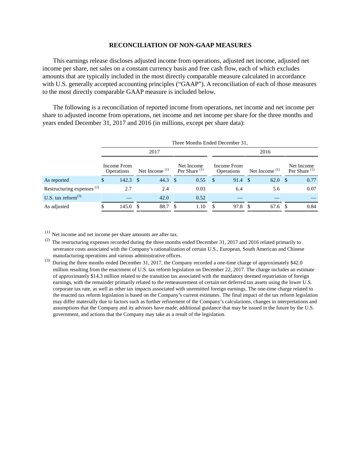#### **RECONCILIATION OF NON-GAAP MEASURES**

This earnings release discloses adjusted income from operations, adjusted net income, adjusted net income per share, net sales on a constant currency basis and free cash flow, each of which excludes amounts that are typically included in the most directly comparable measure calculated in accordance with U.S. generally accepted accounting principles ("GAAP"). A reconciliation of each of those measures to the most directly comparable GAAP measure is included below.

The following is a reconciliation of reported income from operations, net income and net income per share to adjusted income from operations, net income and net income per share for the three months and years ended December 31, 2017 and 2016 (in millions, except per share data):

|                                       |                                  | Three Months Ended December 31, |                  |              |                                        |      |                                  |      |                  |         |                                        |      |  |
|---------------------------------------|----------------------------------|---------------------------------|------------------|--------------|----------------------------------------|------|----------------------------------|------|------------------|---------|----------------------------------------|------|--|
|                                       |                                  |                                 | 2017             |              | 2016                                   |      |                                  |      |                  |         |                                        |      |  |
|                                       | Income From<br><b>Operations</b> |                                 | Net Income $(1)$ |              | Net Income<br>Per Share <sup>(1)</sup> |      | Income From<br><b>Operations</b> |      | Net Income $(1)$ |         | Net Income<br>Per Share <sup>(1)</sup> |      |  |
| As reported                           | \$                               | $142.3$ \$                      |                  | 44.3 $\sqrt$ |                                        | 0.55 | - \$                             | 91.4 | -S               | 62.0 S  |                                        | 0.77 |  |
| Restructuring expenses <sup>(2)</sup> |                                  | 2.7                             |                  | 2.4          |                                        | 0.03 |                                  | 6.4  |                  | 5.6     |                                        | 0.07 |  |
| U.S. tax reform $^{(3)}$              |                                  |                                 |                  | 42.0         |                                        | 0.52 |                                  |      |                  |         |                                        |      |  |
| As adjusted                           |                                  | 145.0 S                         |                  | 88.7         | - \$                                   | 1.10 | -8                               | 97.8 | -S               | 67.6 \$ |                                        | 0.84 |  |

 $(1)$  Net income and net income per share amounts are after tax.

 $(2)$  The restructuring expenses recorded during the three months ended December 31, 2017 and 2016 related primarily to severance costs associated with the Company's rationalization of certain U.S., European, South American and Chinese manufacturing operations and various administrative offices.

<sup>(3)</sup> During the three months ended December 31, 2017, the Company recorded a one-time charge of approximately \$42.0 million resulting from the enactment of U.S. tax reform legislation on December 22, 2017. The charge includes an estimate of approximately \$14.3 million related to the transition tax associated with the mandatory deemed repatriation of foreign earnings, with the remainder primarily related to the remeasurement of certain net deferred tax assets using the lower U.S. corporate tax rate, as well as other tax impacts associated with unremitted foreign earnings. The one-time charge related to the enacted tax reform legislation is based on the Company's current estimates. The final impact of the tax reform legislation may differ materially due to factors such as further refinement of the Company's calculations, changes in interpretations and assumptions that the Company and its advisors have made, additional guidance that may be issued in the future by the U.S. government, and actions that the Company may take as a result of the legislation.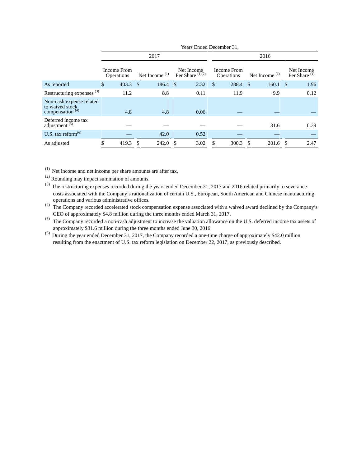| 2017                                                                                                                               | 2016                                   |  |  |  |  |  |  |  |
|------------------------------------------------------------------------------------------------------------------------------------|----------------------------------------|--|--|--|--|--|--|--|
| Income From<br>Income From<br>Net Income<br>Per Share $(1)(2)$<br>Net Income $(1)$<br>Net Income $(1)$<br>Operations<br>Operations | Net Income<br>Per Share <sup>(1)</sup> |  |  |  |  |  |  |  |
| 288.4<br>$160.1 \text{ }$ \$<br>403.3 \$<br>$186.4 \quad $$<br>2.32<br><sup>\$</sup><br>As reported<br>\$<br>\$.                   | 1.96                                   |  |  |  |  |  |  |  |
| Restructuring expenses <sup>(3)</sup><br>11.2<br>8.8<br>9.9<br>0.11<br>11.9                                                        | 0.12                                   |  |  |  |  |  |  |  |
| Non-cash expense related<br>to waived stock<br>compensation <sup>(4)</sup><br>4.8<br>4.8<br>0.06                                   |                                        |  |  |  |  |  |  |  |
| Deferred income tax<br>adjustment $(5)$<br>31.6                                                                                    | 0.39                                   |  |  |  |  |  |  |  |
| U.S. tax reform $^{(6)}$<br>42.0<br>0.52                                                                                           |                                        |  |  |  |  |  |  |  |
| 3.02<br>419.3 \$<br>242.0<br>300.3<br>$201.6$ \$<br>As adjusted<br>- \$<br>-S                                                      | 2.47                                   |  |  |  |  |  |  |  |

 $(1)$  Net income and net income per share amounts are after tax.

(2) Rounding may impact summation of amounts.

<sup>(3)</sup> The restructuring expenses recorded during the years ended December 31, 2017 and 2016 related primarily to severance costs associated with the Company's rationalization of certain U.S., European, South American and Chinese manufacturing operations and various administrative offices.

(4) The Company recorded accelerated stock compensation expense associated with a waived award declined by the Company's CEO of approximately \$4.8 million during the three months ended March 31, 2017.

(5) The Company recorded a non-cash adjustment to increase the valuation allowance on the U.S. deferred income tax assets of approximately \$31.6 million during the three months ended June 30, 2016.

(6) During the year ended December 31, 2017, the Company recorded a one-time charge of approximately \$42.0 million resulting from the enactment of U.S. tax reform legislation on December 22, 2017, as previously described.